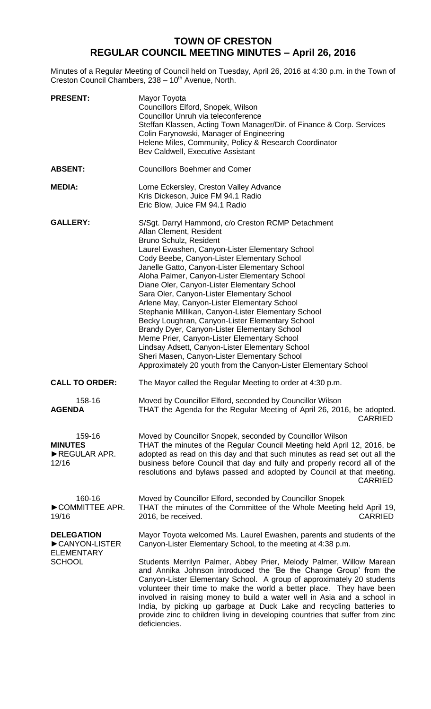# **TOWN OF CRESTON REGULAR COUNCIL MEETING MINUTES – April 26, 2016**

Minutes of a Regular Meeting of Council held on Tuesday, April 26, 2016 at 4:30 p.m. in the Town of Creston Council Chambers, 238 - 10<sup>th</sup> Avenue, North.

| <b>PRESENT:</b>                                                          | Mayor Toyota<br>Councillors Elford, Snopek, Wilson<br>Councillor Unruh via teleconference<br>Steffan Klassen, Acting Town Manager/Dir. of Finance & Corp. Services<br>Colin Farynowski, Manager of Engineering<br>Helene Miles, Community, Policy & Research Coordinator<br>Bev Caldwell, Executive Assistant                                                                                                                                                                                                                                                                                                                                                                                                                                                                                                                           |
|--------------------------------------------------------------------------|-----------------------------------------------------------------------------------------------------------------------------------------------------------------------------------------------------------------------------------------------------------------------------------------------------------------------------------------------------------------------------------------------------------------------------------------------------------------------------------------------------------------------------------------------------------------------------------------------------------------------------------------------------------------------------------------------------------------------------------------------------------------------------------------------------------------------------------------|
| <b>ABSENT:</b>                                                           | <b>Councillors Boehmer and Comer</b>                                                                                                                                                                                                                                                                                                                                                                                                                                                                                                                                                                                                                                                                                                                                                                                                    |
| <b>MEDIA:</b>                                                            | Lorne Eckersley, Creston Valley Advance<br>Kris Dickeson, Juice FM 94.1 Radio<br>Eric Blow, Juice FM 94.1 Radio                                                                                                                                                                                                                                                                                                                                                                                                                                                                                                                                                                                                                                                                                                                         |
| <b>GALLERY:</b>                                                          | S/Sgt. Darryl Hammond, c/o Creston RCMP Detachment<br>Allan Clement, Resident<br>Bruno Schulz, Resident<br>Laurel Ewashen, Canyon-Lister Elementary School<br>Cody Beebe, Canyon-Lister Elementary School<br>Janelle Gatto, Canyon-Lister Elementary School<br>Aloha Palmer, Canyon-Lister Elementary School<br>Diane Oler, Canyon-Lister Elementary School<br>Sara Oler, Canyon-Lister Elementary School<br>Arlene May, Canyon-Lister Elementary School<br>Stephanie Millikan, Canyon-Lister Elementary School<br>Becky Loughran, Canyon-Lister Elementary School<br>Brandy Dyer, Canyon-Lister Elementary School<br>Meme Prier, Canyon-Lister Elementary School<br>Lindsay Adsett, Canyon-Lister Elementary School<br>Sheri Masen, Canyon-Lister Elementary School<br>Approximately 20 youth from the Canyon-Lister Elementary School |
| <b>CALL TO ORDER:</b>                                                    | The Mayor called the Regular Meeting to order at 4:30 p.m.                                                                                                                                                                                                                                                                                                                                                                                                                                                                                                                                                                                                                                                                                                                                                                              |
| 158-16<br><b>AGENDA</b>                                                  | Moved by Councillor Elford, seconded by Councillor Wilson<br>THAT the Agenda for the Regular Meeting of April 26, 2016, be adopted.<br><b>CARRIED</b>                                                                                                                                                                                                                                                                                                                                                                                                                                                                                                                                                                                                                                                                                   |
| 159-16<br><b>MINUTES</b><br>REGULAR APR.<br>12/16                        | Moved by Councillor Snopek, seconded by Councillor Wilson<br>THAT the minutes of the Regular Council Meeting held April 12, 2016, be<br>adopted as read on this day and that such minutes as read set out all the<br>business before Council that day and fully and properly record all of the<br>resolutions and bylaws passed and adopted by Council at that meeting.<br><b>CARRIED</b>                                                                                                                                                                                                                                                                                                                                                                                                                                               |
| 160-16<br>COMMITTEE APR.<br>19/16                                        | Moved by Councillor Elford, seconded by Councillor Snopek<br>THAT the minutes of the Committee of the Whole Meeting held April 19,<br><b>CARRIED</b><br>2016, be received.                                                                                                                                                                                                                                                                                                                                                                                                                                                                                                                                                                                                                                                              |
| <b>DELEGATION</b><br>CANYON-LISTER<br><b>ELEMENTARY</b><br><b>SCHOOL</b> | Mayor Toyota welcomed Ms. Laurel Ewashen, parents and students of the<br>Canyon-Lister Elementary School, to the meeting at 4:38 p.m.                                                                                                                                                                                                                                                                                                                                                                                                                                                                                                                                                                                                                                                                                                   |
|                                                                          | Students Merrilyn Palmer, Abbey Prier, Melody Palmer, Willow Marean<br>and Annika Johnson introduced the 'Be the Change Group' from the<br>Canyon-Lister Elementary School. A group of approximately 20 students<br>volunteer their time to make the world a better place. They have been<br>involved in raising money to build a water well in Asia and a school in<br>India, by picking up garbage at Duck Lake and recycling batteries to<br>provide zinc to children living in developing countries that suffer from zinc<br>deficiencies.                                                                                                                                                                                                                                                                                          |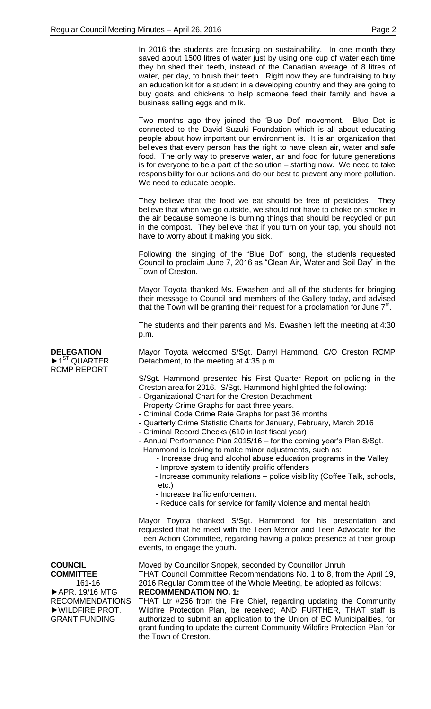In 2016 the students are focusing on sustainability. In one month they saved about 1500 litres of water just by using one cup of water each time they brushed their teeth, instead of the Canadian average of 8 litres of water, per day, to brush their teeth. Right now they are fundraising to buy an education kit for a student in a developing country and they are going to buy goats and chickens to help someone feed their family and have a business selling eggs and milk.

Two months ago they joined the 'Blue Dot' movement. Blue Dot is connected to the David Suzuki Foundation which is all about educating people about how important our environment is. It is an organization that believes that every person has the right to have clean air, water and safe food. The only way to preserve water, air and food for future generations is for everyone to be a part of the solution – starting now. We need to take responsibility for our actions and do our best to prevent any more pollution. We need to educate people.

They believe that the food we eat should be free of pesticides. They believe that when we go outside, we should not have to choke on smoke in the air because someone is burning things that should be recycled or put in the compost. They believe that if you turn on your tap, you should not have to worry about it making you sick.

Following the singing of the "Blue Dot" song, the students requested Council to proclaim June 7, 2016 as "Clean Air, Water and Soil Day" in the Town of Creston.

Mayor Toyota thanked Ms. Ewashen and all of the students for bringing their message to Council and members of the Gallery today, and advised that the Town will be granting their request for a proclamation for June  $7<sup>th</sup>$ .

The students and their parents and Ms. Ewashen left the meeting at 4:30 p.m.

Mayor Toyota welcomed S/Sgt. Darryl Hammond, C/O Creston RCMP Detachment, to the meeting at 4:35 p.m.

S/Sgt. Hammond presented his First Quarter Report on policing in the Creston area for 2016. S/Sgt. Hammond highlighted the following:

- Organizational Chart for the Creston Detachment
- Property Crime Graphs for past three years.
- Criminal Code Crime Rate Graphs for past 36 months
- Quarterly Crime Statistic Charts for January, February, March 2016
- Criminal Record Checks (610 in last fiscal year)

- Annual Performance Plan 2015/16 – for the coming year's Plan S/Sgt.

- Hammond is looking to make minor adjustments, such as:
	- Increase drug and alcohol abuse education programs in the Valley
	- Improve system to identify prolific offenders
	- Increase community relations police visibility (Coffee Talk, schools, etc.)
	- Increase traffic enforcement
	- Reduce calls for service for family violence and mental health

Mayor Toyota thanked S/Sgt. Hammond for his presentation and requested that he meet with the Teen Mentor and Teen Advocate for the Teen Action Committee, regarding having a police presence at their group events, to engage the youth.

Moved by Councillor Snopek, seconded by Councillor Unruh THAT Council Committee Recommendations No. 1 to 8, from the April 19, 2016 Regular Committee of the Whole Meeting, be adopted as follows:

**RECOMMENDATION NO. 1:**

THAT Ltr #256 from the Fire Chief, regarding updating the Community Wildfire Protection Plan, be received; AND FURTHER, THAT staff is authorized to submit an application to the Union of BC Municipalities, for grant funding to update the current Community Wildfire Protection Plan for the Town of Creston.

**COUNCIL COMMITTEE**

**DELEGATION**  $\blacktriangleright$  1<sup>ST</sup> QUARTER RCMP REPORT

161-16 ►APR. 19/16 MTG RECOMMENDATIONS ►WILDFIRE PROT. GRANT FUNDING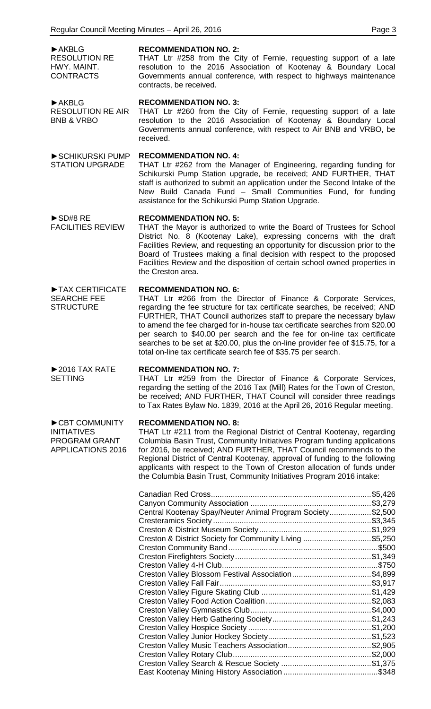►AKBLG RESOLUTION RE HWY. MAINT. **CONTRACTS** 

#### **RECOMMENDATION NO. 2:**

THAT Ltr #258 from the City of Fernie, requesting support of a late resolution to the 2016 Association of Kootenay & Boundary Local Governments annual conference, with respect to highways maintenance contracts, be received.

►AKBLG RESOLUTION RE AIR BNB & VRBO

**RECOMMENDATION NO. 3:**

THAT Ltr #260 from the City of Fernie, requesting support of a late resolution to the 2016 Association of Kootenay & Boundary Local Governments annual conference, with respect to Air BNB and VRBO, be received.

#### ►SCHIKURSKI PUMP **RECOMMENDATION NO. 4:**

THAT Ltr #262 from the Manager of Engineering, regarding funding for Schikurski Pump Station upgrade, be received; AND FURTHER, THAT staff is authorized to submit an application under the Second Intake of the New Build Canada Fund – Small Communities Fund, for funding assistance for the Schikurski Pump Station Upgrade.

►SD#8 RE FACILITIES REVIEW

**STRUCTURE** 

 $\blacktriangleright$  2016 TAX RATE

►CBT COMMUNITY

PROGRAM GRANT APPLICATIONS 2016

**SETTING** 

INITIATIVES

STATION UPGRADE

#### **RECOMMENDATION NO. 5:**

THAT the Mayor is authorized to write the Board of Trustees for School District No. 8 (Kootenay Lake), expressing concerns with the draft Facilities Review, and requesting an opportunity for discussion prior to the Board of Trustees making a final decision with respect to the proposed Facilities Review and the disposition of certain school owned properties in the Creston area.

#### ►TAX CERTIFICATE SEARCHE FEE **RECOMMENDATION NO. 6:**

THAT Ltr #266 from the Director of Finance & Corporate Services, regarding the fee structure for tax certificate searches, be received; AND FURTHER, THAT Council authorizes staff to prepare the necessary bylaw to amend the fee charged for in-house tax certificate searches from \$20.00 per search to \$40.00 per search and the fee for on-line tax certificate searches to be set at \$20.00, plus the on-line provider fee of \$15.75, for a total on-line tax certificate search fee of \$35.75 per search.

## **RECOMMENDATION NO. 7:**

THAT Ltr #259 from the Director of Finance & Corporate Services, regarding the setting of the 2016 Tax (Mill) Rates for the Town of Creston, be received; AND FURTHER, THAT Council will consider three readings to Tax Rates Bylaw No. 1839, 2016 at the April 26, 2016 Regular meeting.

## **RECOMMENDATION NO. 8:**

THAT Ltr #211 from the Regional District of Central Kootenay, regarding Columbia Basin Trust, Community Initiatives Program funding applications for 2016, be received; AND FURTHER, THAT Council recommends to the Regional District of Central Kootenay, approval of funding to the following applicants with respect to the Town of Creston allocation of funds under the Columbia Basin Trust, Community Initiatives Program 2016 intake:

|                                                            | \$5,426 |
|------------------------------------------------------------|---------|
|                                                            |         |
| Central Kootenay Spay/Neuter Animal Program Society\$2,500 |         |
|                                                            | \$3,345 |
|                                                            |         |
| Creston & District Society for Community Living \$5,250    |         |
|                                                            |         |
|                                                            | \$1,349 |
|                                                            |         |
| Creston Valley Blossom Festival Association\$4,899         |         |
|                                                            |         |
|                                                            |         |
|                                                            | \$2,083 |
|                                                            | \$4,000 |
|                                                            |         |
|                                                            |         |
|                                                            |         |
|                                                            |         |
|                                                            |         |
|                                                            |         |
|                                                            |         |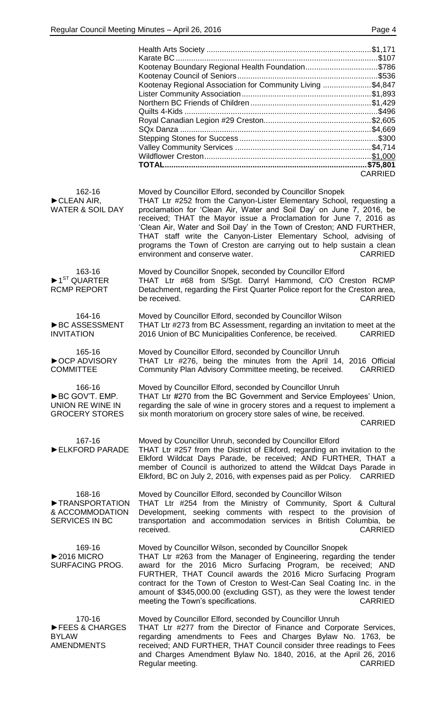|                                                                               | Kootenay Boundary Regional Health Foundation\$786<br>Kootenay Regional Association for Community Living \$4,847<br><b>CARRIED</b>                                                                                                                                                                                                                                                                                                                                                                                                                         |
|-------------------------------------------------------------------------------|-----------------------------------------------------------------------------------------------------------------------------------------------------------------------------------------------------------------------------------------------------------------------------------------------------------------------------------------------------------------------------------------------------------------------------------------------------------------------------------------------------------------------------------------------------------|
| 162-16<br>$\blacktriangleright$ CLEAN AIR,<br><b>WATER &amp; SOIL DAY</b>     | Moved by Councillor Elford, seconded by Councillor Snopek<br>THAT Ltr #252 from the Canyon-Lister Elementary School, requesting a<br>proclamation for 'Clean Air, Water and Soil Day' on June 7, 2016, be<br>received; THAT the Mayor issue a Proclamation for June 7, 2016 as<br>'Clean Air, Water and Soil Day' in the Town of Creston; AND FURTHER,<br>THAT staff write the Canyon-Lister Elementary School, advising of<br>programs the Town of Creston are carrying out to help sustain a clean<br><b>CARRIED</b><br>environment and conserve water. |
| 163-16<br>$\blacktriangleright$ 1 <sup>ST</sup> QUARTER<br><b>RCMP REPORT</b> | Moved by Councillor Snopek, seconded by Councillor Elford<br>THAT Ltr #68 from S/Sgt. Darryl Hammond, C/O Creston RCMP<br>Detachment, regarding the First Quarter Police report for the Creston area,<br>be received.<br><b>CARRIED</b>                                                                                                                                                                                                                                                                                                                   |
| 164-16<br>▶BC ASSESSMENT<br><b>INVITATION</b>                                 | Moved by Councillor Elford, seconded by Councillor Wilson<br>THAT Ltr #273 from BC Assessment, regarding an invitation to meet at the<br>2016 Union of BC Municipalities Conference, be received.<br><b>CARRIED</b>                                                                                                                                                                                                                                                                                                                                       |
| 165-16<br>OCP ADVISORY<br><b>COMMITTEE</b>                                    | Moved by Councillor Elford, seconded by Councillor Unruh<br>THAT Ltr #276, being the minutes from the April 14, 2016 Official<br>Community Plan Advisory Committee meeting, be received.<br><b>CARRIED</b>                                                                                                                                                                                                                                                                                                                                                |
| 166-16<br>BC GOV'T. EMP.<br>UNION RE WINE IN<br><b>GROCERY STORES</b>         | Moved by Councillor Elford, seconded by Councillor Unruh<br>THAT Ltr #270 from the BC Government and Service Employees' Union,<br>regarding the sale of wine in grocery stores and a request to implement a<br>six month moratorium on grocery store sales of wine, be received.<br><b>CARRIED</b>                                                                                                                                                                                                                                                        |
| 167-16<br>ELKFORD PARADE                                                      | Moved by Councillor Unruh, seconded by Councillor Elford<br>THAT Ltr #257 from the District of Elkford, regarding an invitation to the<br>Elkford Wildcat Days Parade, be received; AND FURTHER, THAT a<br>member of Council is authorized to attend the Wildcat Days Parade in<br>Elkford, BC on July 2, 2016, with expenses paid as per Policy.<br><b>CARRIED</b>                                                                                                                                                                                       |
| 168-16<br>TRANSPORTATION<br>& ACCOMMODATION<br>SERVICES IN BC                 | Moved by Councillor Elford, seconded by Councillor Wilson<br>THAT Ltr #254 from the Ministry of Community, Sport & Cultural<br>Development, seeking comments with respect to the provision of<br>transportation and accommodation services in British Columbia, be<br>received.<br><b>CARRIED</b>                                                                                                                                                                                                                                                         |
| 169-16<br>$\blacktriangleright$ 2016 MICRO<br>SURFACING PROG.                 | Moved by Councillor Wilson, seconded by Councillor Snopek<br>THAT Ltr #263 from the Manager of Engineering, regarding the tender<br>award for the 2016 Micro Surfacing Program, be received; AND<br>FURTHER, THAT Council awards the 2016 Micro Surfacing Program<br>contract for the Town of Creston to West-Can Seal Coating Inc. in the<br>amount of \$345,000.00 (excluding GST), as they were the lowest tender<br>meeting the Town's specifications.<br><b>CARRIED</b>                                                                              |
| 170-16<br>FEES & CHARGES<br><b>BYLAW</b><br><b>AMENDMENTS</b>                 | Moved by Councillor Elford, seconded by Councillor Unruh<br>THAT Ltr #277 from the Director of Finance and Corporate Services,<br>regarding amendments to Fees and Charges Bylaw No. 1763, be<br>received; AND FURTHER, THAT Council consider three readings to Fees<br>and Charges Amendment Bylaw No. 1840, 2016, at the April 26, 2016<br><b>CARRIED</b><br>Regular meeting.                                                                                                                                                                           |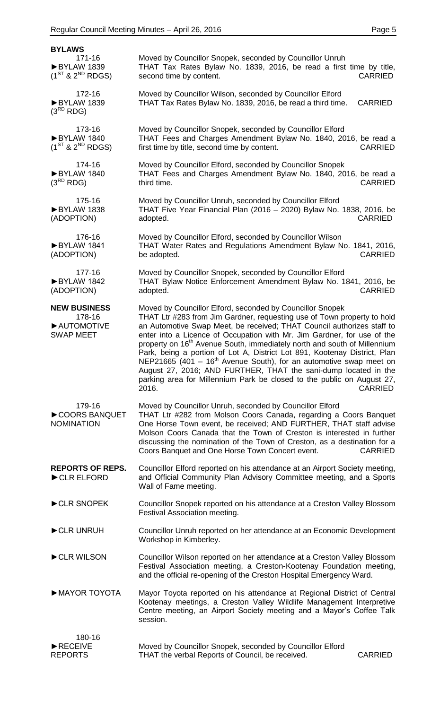| <b>BYLAWS</b>                                                   |                                                                                                                                                                                                                                                                                                                                                                                                                                                                                                                                                                                                                                                                                                                |
|-----------------------------------------------------------------|----------------------------------------------------------------------------------------------------------------------------------------------------------------------------------------------------------------------------------------------------------------------------------------------------------------------------------------------------------------------------------------------------------------------------------------------------------------------------------------------------------------------------------------------------------------------------------------------------------------------------------------------------------------------------------------------------------------|
| 171-16<br>▶BYLAW 1839<br>$(1^{ST}$ & $2^{ND}$ RDGS)             | Moved by Councillor Snopek, seconded by Councillor Unruh<br>THAT Tax Rates Bylaw No. 1839, 2016, be read a first time by title,<br>second time by content.<br><b>CARRIED</b>                                                                                                                                                                                                                                                                                                                                                                                                                                                                                                                                   |
| 172-16<br>BYLAW 1839<br>$(3^{RD}$ RDG)                          | Moved by Councillor Wilson, seconded by Councillor Elford<br>THAT Tax Rates Bylaw No. 1839, 2016, be read a third time.<br><b>CARRIED</b>                                                                                                                                                                                                                                                                                                                                                                                                                                                                                                                                                                      |
| 173-16<br>BYLAW 1840<br>$(1^{ST}$ & $2^{ND}$ RDGS)              | Moved by Councillor Snopek, seconded by Councillor Elford<br>THAT Fees and Charges Amendment Bylaw No. 1840, 2016, be read a<br>first time by title, second time by content.<br><b>CARRIED</b>                                                                                                                                                                                                                                                                                                                                                                                                                                                                                                                 |
| 174-16<br>BYLAW 1840<br>$(3^{RD}$ RDG)                          | Moved by Councillor Elford, seconded by Councillor Snopek<br>THAT Fees and Charges Amendment Bylaw No. 1840, 2016, be read a<br>third time.<br><b>CARRIED</b>                                                                                                                                                                                                                                                                                                                                                                                                                                                                                                                                                  |
| 175-16<br>BYLAW 1838<br>(ADOPTION)                              | Moved by Councillor Unruh, seconded by Councillor Elford<br>THAT Five Year Financial Plan (2016 - 2020) Bylaw No. 1838, 2016, be<br><b>CARRIED</b><br>adopted.                                                                                                                                                                                                                                                                                                                                                                                                                                                                                                                                                 |
| 176-16<br>BYLAW 1841<br>(ADOPTION)                              | Moved by Councillor Elford, seconded by Councillor Wilson<br>THAT Water Rates and Regulations Amendment Bylaw No. 1841, 2016,<br><b>CARRIED</b><br>be adopted.                                                                                                                                                                                                                                                                                                                                                                                                                                                                                                                                                 |
| 177-16<br>BYLAW 1842<br>(ADOPTION)                              | Moved by Councillor Snopek, seconded by Councillor Elford<br>THAT Bylaw Notice Enforcement Amendment Bylaw No. 1841, 2016, be<br><b>CARRIED</b><br>adopted.                                                                                                                                                                                                                                                                                                                                                                                                                                                                                                                                                    |
| <b>NEW BUSINESS</b><br>178-16<br>AUTOMOTIVE<br><b>SWAP MEET</b> | Moved by Councillor Elford, seconded by Councillor Snopek<br>THAT Ltr #283 from Jim Gardner, requesting use of Town property to hold<br>an Automotive Swap Meet, be received; THAT Council authorizes staff to<br>enter into a Licence of Occupation with Mr. Jim Gardner, for use of the<br>property on 16 <sup>th</sup> Avenue South, immediately north and south of Millennium<br>Park, being a portion of Lot A, District Lot 891, Kootenay District, Plan<br>NEP21665 (401 - $16th$ Avenue South), for an automotive swap meet on<br>August 27, 2016; AND FURTHER, THAT the sani-dump located in the<br>parking area for Millennium Park be closed to the public on August 27,<br>2016.<br><b>CARRIED</b> |
| 179-16<br>COORS BANQUET<br><b>NOMINATION</b>                    | Moved by Councillor Unruh, seconded by Councillor Elford<br>THAT Ltr #282 from Molson Coors Canada, regarding a Coors Banquet<br>One Horse Town event, be received; AND FURTHER, THAT staff advise<br>Molson Coors Canada that the Town of Creston is interested in further<br>discussing the nomination of the Town of Creston, as a destination for a<br>Coors Banquet and One Horse Town Concert event.<br><b>CARRIED</b>                                                                                                                                                                                                                                                                                   |
| <b>REPORTS OF REPS.</b><br>CLR ELFORD                           | Councillor Elford reported on his attendance at an Airport Society meeting,<br>and Official Community Plan Advisory Committee meeting, and a Sports<br>Wall of Fame meeting.                                                                                                                                                                                                                                                                                                                                                                                                                                                                                                                                   |
| CLR SNOPEK                                                      | Councillor Snopek reported on his attendance at a Creston Valley Blossom<br>Festival Association meeting.                                                                                                                                                                                                                                                                                                                                                                                                                                                                                                                                                                                                      |
| CLR UNRUH                                                       | Councillor Unruh reported on her attendance at an Economic Development<br>Workshop in Kimberley.                                                                                                                                                                                                                                                                                                                                                                                                                                                                                                                                                                                                               |
| CLR WILSON                                                      | Councillor Wilson reported on her attendance at a Creston Valley Blossom<br>Festival Association meeting, a Creston-Kootenay Foundation meeting,<br>and the official re-opening of the Creston Hospital Emergency Ward.                                                                                                                                                                                                                                                                                                                                                                                                                                                                                        |
| MAYOR TOYOTA                                                    | Mayor Toyota reported on his attendance at Regional District of Central<br>Kootenay meetings, a Creston Valley Wildlife Management Interpretive<br>Centre meeting, an Airport Society meeting and a Mayor's Coffee Talk<br>session.                                                                                                                                                                                                                                                                                                                                                                                                                                                                            |
| 180-16<br>RECEIVE<br><b>REPORTS</b>                             | Moved by Councillor Snopek, seconded by Councillor Elford<br>THAT the verbal Reports of Council, be received.<br><b>CARRIED</b>                                                                                                                                                                                                                                                                                                                                                                                                                                                                                                                                                                                |